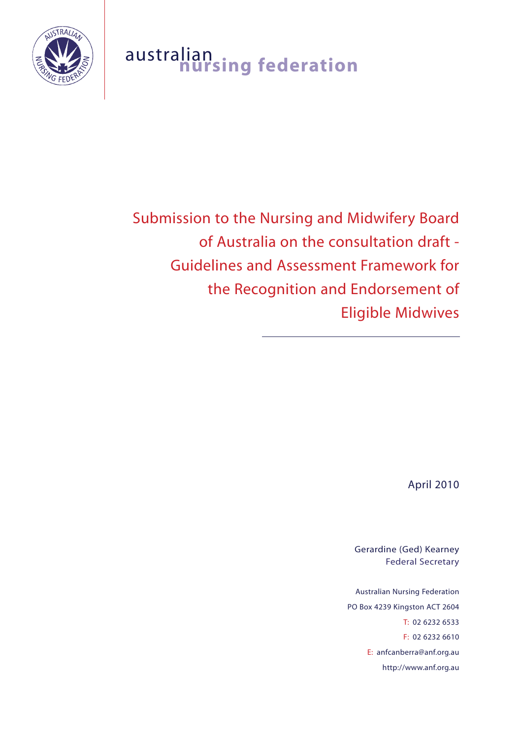

# australian<br>**nursing federation**

# Submission to the Nursing and Midwifery Board of Australia on the consultation draft - Guidelines and Assessment Framework for the Recognition and Endorsement of Eligible Midwives

April 2010

Gerardine (Ged) Kearney Federal Secretary

Australian Nursing Federation PO Box 4239 Kingston ACT 2604 T: 02 6232 6533 F: 02 6232 6610 E: anfcanberra@anf.org.au http://www.anf.org.au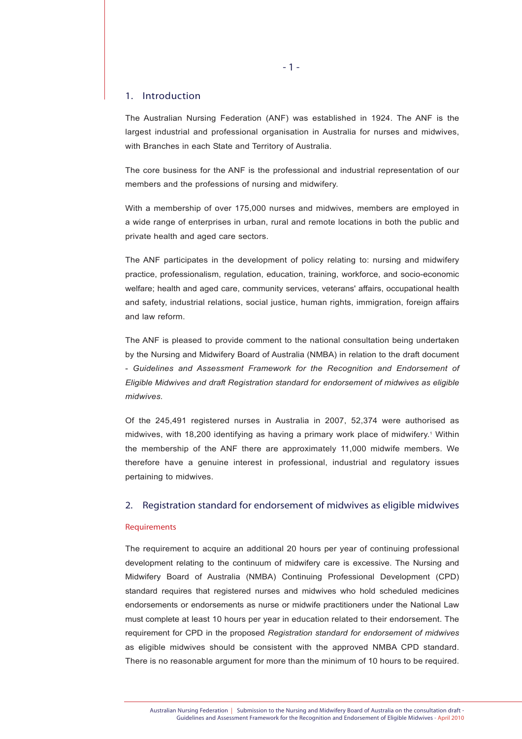#### 1. Introduction

The Australian Nursing Federation (ANF) was established in 1924. The ANF is the largest industrial and professional organisation in Australia for nurses and midwives, with Branches in each State and Territory of Australia.

The core business for the ANF is the professional and industrial representation of our members and the professions of nursing and midwifery.

With a membership of over 175,000 nurses and midwives, members are employed in a wide range of enterprises in urban, rural and remote locations in both the public and private health and aged care sectors.

The ANF participates in the development of policy relating to: nursing and midwifery practice, professionalism, regulation, education, training, workforce, and socio-economic welfare; health and aged care, community services, veterans' affairs, occupational health and safety, industrial relations, social justice, human rights, immigration, foreign affairs and law reform.

The ANF is pleased to provide comment to the national consultation being undertaken by the Nursing and Midwifery Board of Australia (NMBA) in relation to the draft document - *Guidelines and Assessment Framework for the Recognition and Endorsement of Eligible Midwives and draft Registration standard for endorsement of midwives as eligible midwives.* 

Of the 245,491 registered nurses in Australia in 2007, 52,374 were authorised as midwives, with 18,200 identifying as having a primary work place of midwifery.<sup>1</sup> Within the membership of the ANF there are approximately 11,000 midwife members. We therefore have a genuine interest in professional, industrial and regulatory issues pertaining to midwives.

#### 2. Registration standard for endorsement of midwives as eligible midwives

#### **Requirements**

The requirement to acquire an additional 20 hours per year of continuing professional development relating to the continuum of midwifery care is excessive. The Nursing and Midwifery Board of Australia (NMBA) Continuing Professional Development (CPD) standard requires that registered nurses and midwives who hold scheduled medicines endorsements or endorsements as nurse or midwife practitioners under the National Law must complete at least 10 hours per year in education related to their endorsement. The requirement for CPD in the proposed *Registration standard for endorsement of midwives* as eligible midwives should be consistent with the approved NMBA CPD standard. There is no reasonable argument for more than the minimum of 10 hours to be required.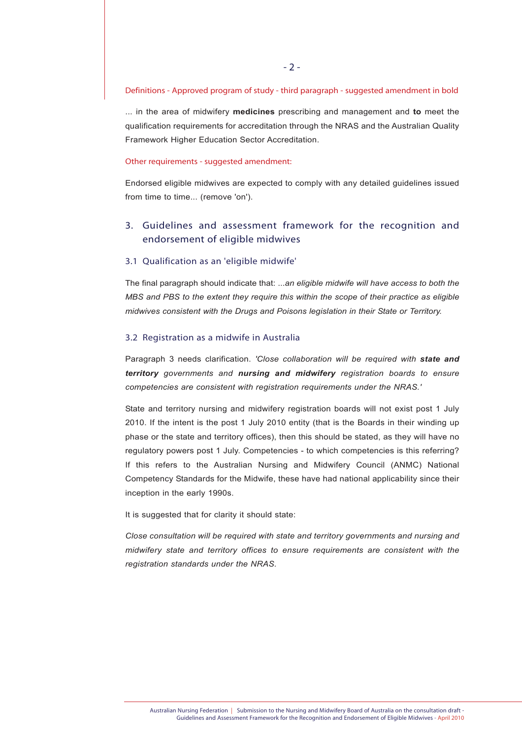#### Definitions - Approved program of study - third paragraph - suggested amendment in bold

... in the area of midwifery **medicines** prescribing and management and **to** meet the qualification requirements for accreditation through the NRAS and the Australian Quality Framework Higher Education Sector Accreditation.

#### Other requirements - suggested amendment:

Endorsed eligible midwives are expected to comply with any detailed guidelines issued from time to time... (remove 'on').

# 3. Guidelines and assessment framework for the recognition and endorsement of eligible midwives

#### 3.1 Qualification as an 'eligible midwife'

The final paragraph should indicate that: ...*an eligible midwife will have access to both the MBS and PBS to the extent they require this within the scope of their practice as eligible midwives consistent with the Drugs and Poisons legislation in their State or Territory.*

#### 3.2 Registration as a midwife in Australia

Paragraph 3 needs clarification. *'Close collaboration will be required with state and territory governments and nursing and midwifery registration boards to ensure competencies are consistent with registration requirements under the NRAS.'*

State and territory nursing and midwifery registration boards will not exist post 1 July 2010. If the intent is the post 1 July 2010 entity (that is the Boards in their winding up phase or the state and territory offices), then this should be stated, as they will have no regulatory powers post 1 July. Competencies - to which competencies is this referring? If this refers to the Australian Nursing and Midwifery Council (ANMC) National Competency Standards for the Midwife, these have had national applicability since their inception in the early 1990s.

It is suggested that for clarity it should state:

*Close consultation will be required with state and territory governments and nursing and midwifery state and territory offices to ensure requirements are consistent with the registration standards under the NRAS.*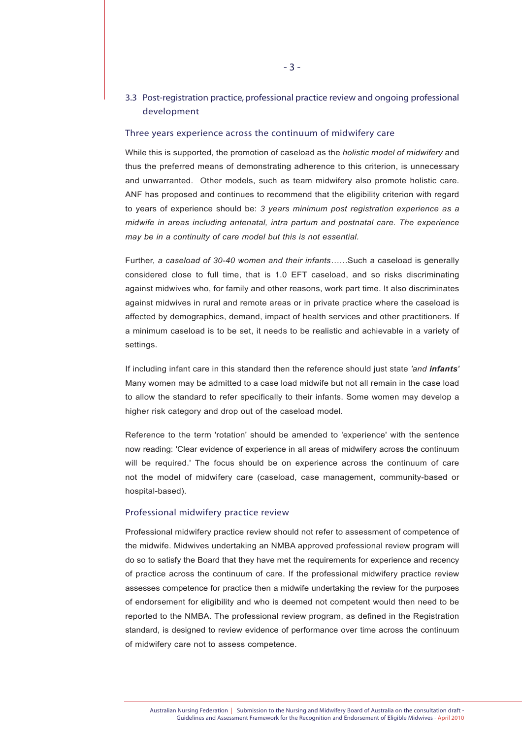## 3.3 Post-registration practice, professional practice review and ongoing professional development

#### Three years experience across the continuum of midwifery care

While this is supported, the promotion of caseload as the *holistic model of midwifery* and thus the preferred means of demonstrating adherence to this criterion, is unnecessary and unwarranted. Other models, such as team midwifery also promote holistic care. ANF has proposed and continues to recommend that the eligibility criterion with regard to years of experience should be: *3 years minimum post registration experience as a midwife in areas including antenatal, intra partum and postnatal care. The experience may be in a continuity of care model but this is not essential.*

Further, *a caseload of 30-40 women and their infants……*Such a caseload is generally considered close to full time, that is 1.0 EFT caseload, and so risks discriminating against midwives who, for family and other reasons, work part time. It also discriminates against midwives in rural and remote areas or in private practice where the caseload is affected by demographics, demand, impact of health services and other practitioners. If a minimum caseload is to be set, it needs to be realistic and achievable in a variety of settings.

If including infant care in this standard then the reference should just state *'and infants'* Many women may be admitted to a case load midwife but not all remain in the case load to allow the standard to refer specifically to their infants. Some women may develop a higher risk category and drop out of the caseload model.

Reference to the term 'rotation' should be amended to 'experience' with the sentence now reading: 'Clear evidence of experience in all areas of midwifery across the continuum will be required.' The focus should be on experience across the continuum of care not the model of midwifery care (caseload, case management, community-based or hospital-based).

#### Professional midwifery practice review

Professional midwifery practice review should not refer to assessment of competence of the midwife. Midwives undertaking an NMBA approved professional review program will do so to satisfy the Board that they have met the requirements for experience and recency of practice across the continuum of care. If the professional midwifery practice review assesses competence for practice then a midwife undertaking the review for the purposes of endorsement for eligibility and who is deemed not competent would then need to be reported to the NMBA. The professional review program, as defined in the Registration standard, is designed to review evidence of performance over time across the continuum of midwifery care not to assess competence.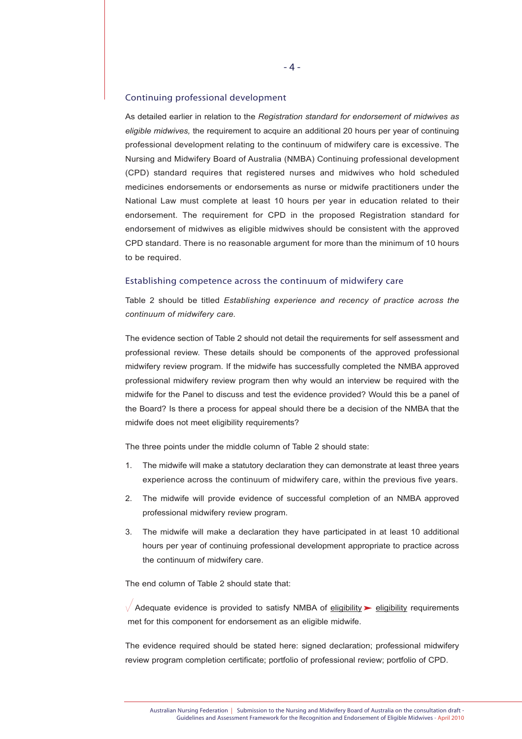#### Continuing professional development

As detailed earlier in relation to the *Registration standard for endorsement of midwives as eligible midwives,* the requirement to acquire an additional 20 hours per year of continuing professional development relating to the continuum of midwifery care is excessive. The Nursing and Midwifery Board of Australia (NMBA) Continuing professional development (CPD) standard requires that registered nurses and midwives who hold scheduled medicines endorsements or endorsements as nurse or midwife practitioners under the National Law must complete at least 10 hours per year in education related to their endorsement. The requirement for CPD in the proposed Registration standard for endorsement of midwives as eligible midwives should be consistent with the approved CPD standard. There is no reasonable argument for more than the minimum of 10 hours to be required.

#### Establishing competence across the continuum of midwifery care

Table 2 should be titled *Establishing experience and recency of practice across the continuum of midwifery care.*

The evidence section of Table 2 should not detail the requirements for self assessment and professional review. These details should be components of the approved professional midwifery review program. If the midwife has successfully completed the NMBA approved professional midwifery review program then why would an interview be required with the midwife for the Panel to discuss and test the evidence provided? Would this be a panel of the Board? Is there a process for appeal should there be a decision of the NMBA that the midwife does not meet eligibility requirements?

The three points under the middle column of Table 2 should state:

- 1. The midwife will make a statutory declaration they can demonstrate at least three years experience across the continuum of midwifery care, within the previous five years.
- 2. The midwife will provide evidence of successful completion of an NMBA approved professional midwifery review program.
- 3. The midwife will make a declaration they have participated in at least 10 additional hours per year of continuing professional development appropriate to practice across the continuum of midwifery care.

The end column of Table 2 should state that:

 $\sqrt{\phantom{a}}$  Adequate evidence is provided to satisfy NMBA of eligibility  $\blacktriangleright$  eligibility requirements met for this component for endorsement as an eligible midwife.

The evidence required should be stated here: signed declaration; professional midwifery review program completion certificate; portfolio of professional review; portfolio of CPD.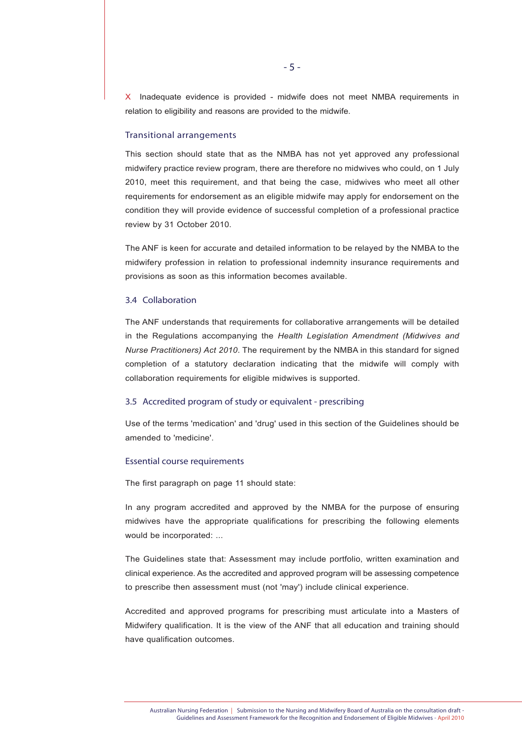X Inadequate evidence is provided - midwife does not meet NMBA requirements in relation to eligibility and reasons are provided to the midwife.

#### Transitional arrangements

This section should state that as the NMBA has not yet approved any professional midwifery practice review program, there are therefore no midwives who could, on 1 July 2010, meet this requirement, and that being the case, midwives who meet all other requirements for endorsement as an eligible midwife may apply for endorsement on the condition they will provide evidence of successful completion of a professional practice review by 31 October 2010.

The ANF is keen for accurate and detailed information to be relayed by the NMBA to the midwifery profession in relation to professional indemnity insurance requirements and provisions as soon as this information becomes available.

#### 3.4 Collaboration

The ANF understands that requirements for collaborative arrangements will be detailed in the Regulations accompanying the *Health Legislation Amendment (Midwives and Nurse Practitioners) Act 2010*. The requirement by the NMBA in this standard for signed completion of a statutory declaration indicating that the midwife will comply with collaboration requirements for eligible midwives is supported.

#### 3.5 Accredited program of study or equivalent - prescribing

Use of the terms 'medication' and 'drug' used in this section of the Guidelines should be amended to 'medicine'.

#### Essential course requirements

The first paragraph on page 11 should state:

In any program accredited and approved by the NMBA for the purpose of ensuring midwives have the appropriate qualifications for prescribing the following elements would be incorporated: ...

The Guidelines state that: Assessment may include portfolio, written examination and clinical experience. As the accredited and approved program will be assessing competence to prescribe then assessment must (not 'may') include clinical experience.

Accredited and approved programs for prescribing must articulate into a Masters of Midwifery qualification. It is the view of the ANF that all education and training should have qualification outcomes.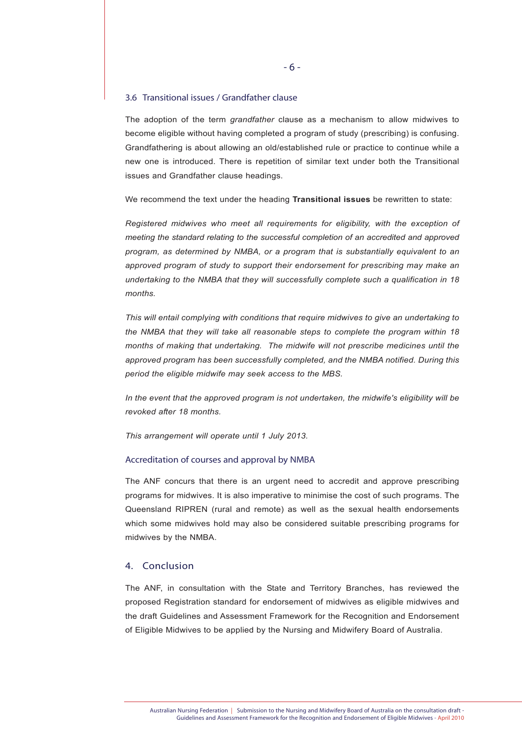#### 3.6 Transitional issues / Grandfather clause

The adoption of the term *grandfather* clause as a mechanism to allow midwives to become eligible without having completed a program of study (prescribing) is confusing. Grandfathering is about allowing an old/established rule or practice to continue while a new one is introduced. There is repetition of similar text under both the Transitional issues and Grandfather clause headings.

We recommend the text under the heading **Transitional issues** be rewritten to state:

*Registered midwives who meet all requirements for eligibility, with the exception of meeting the standard relating to the successful completion of an accredited and approved program, as determined by NMBA, or a program that is substantially equivalent to an approved program of study to support their endorsement for prescribing may make an undertaking to the NMBA that they will successfully complete such a qualification in 18 months.* 

*This will entail complying with conditions that require midwives to give an undertaking to the NMBA that they will take all reasonable steps to complete the program within 18 months of making that undertaking. The midwife will not prescribe medicines until the approved program has been successfully completed, and the NMBA notified. During this period the eligible midwife may seek access to the MBS.*

*In the event that the approved program is not undertaken, the midwife's eligibility will be revoked after 18 months.*

*This arrangement will operate until 1 July 2013.*

#### Accreditation of courses and approval by NMBA

The ANF concurs that there is an urgent need to accredit and approve prescribing programs for midwives. It is also imperative to minimise the cost of such programs. The Queensland RIPREN (rural and remote) as well as the sexual health endorsements which some midwives hold may also be considered suitable prescribing programs for midwives by the NMBA.

#### 4. Conclusion

The ANF, in consultation with the State and Territory Branches, has reviewed the proposed Registration standard for endorsement of midwives as eligible midwives and the draft Guidelines and Assessment Framework for the Recognition and Endorsement of Eligible Midwives to be applied by the Nursing and Midwifery Board of Australia.